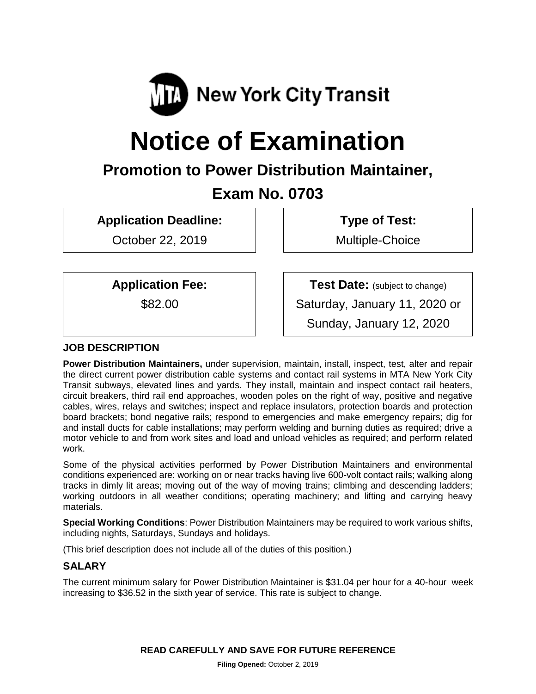

# **Notice of Examination**

# **Promotion to Power Distribution Maintainer,**

# **Exam No. 0703**

**Application Deadline:**

October 22, 2019

**Type of Test:**  Multiple-Choice

# **Application Fee:**

\$82.00

**Test Date:** (subject to change) Saturday, January 11, 2020 or Sunday, January 12, 2020

# **JOB DESCRIPTION**

**Power Distribution Maintainers,** under supervision, maintain, install, inspect, test, alter and repair the direct current power distribution cable systems and contact rail systems in MTA New York City Transit subways, elevated lines and yards. They install, maintain and inspect contact rail heaters, circuit breakers, third rail end approaches, wooden poles on the right of way, positive and negative cables, wires, relays and switches; inspect and replace insulators, protection boards and protection board brackets; bond negative rails; respond to emergencies and make emergency repairs; dig for and install ducts for cable installations; may perform welding and burning duties as required; drive a motor vehicle to and from work sites and load and unload vehicles as required; and perform related work.

Some of the physical activities performed by Power Distribution Maintainers and environmental conditions experienced are: working on or near tracks having live 600-volt contact rails; walking along tracks in dimly lit areas; moving out of the way of moving trains; climbing and descending ladders; working outdoors in all weather conditions; operating machinery; and lifting and carrying heavy materials.

**Special Working Conditions**: Power Distribution Maintainers may be required to work various shifts, including nights, Saturdays, Sundays and holidays.

(This brief description does not include all of the duties of this position.)

# **SALARY**

The current minimum salary for Power Distribution Maintainer is \$31.04 per hour for a 40-hour week increasing to \$36.52 in the sixth year of service. This rate is subject to change.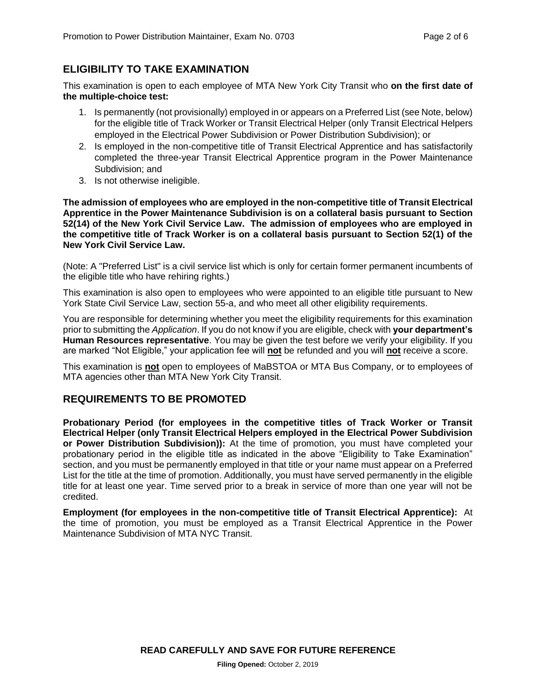# **ELIGIBILITY TO TAKE EXAMINATION**

This examination is open to each employee of MTA New York City Transit who **on the first date of the multiple-choice test:**

- 1. Is permanently (not provisionally) employed in or appears on a Preferred List (see Note, below) for the eligible title of Track Worker or Transit Electrical Helper (only Transit Electrical Helpers employed in the Electrical Power Subdivision or Power Distribution Subdivision); or
- 2. Is employed in the non-competitive title of Transit Electrical Apprentice and has satisfactorily completed the three-year Transit Electrical Apprentice program in the Power Maintenance Subdivision; and
- 3. Is not otherwise ineligible.

**The admission of employees who are employed in the non-competitive title of Transit Electrical Apprentice in the Power Maintenance Subdivision is on a collateral basis pursuant to Section 52(14) of the New York Civil Service Law. The admission of employees who are employed in the competitive title of Track Worker is on a collateral basis pursuant to Section 52(1) of the New York Civil Service Law.** 

(Note: A "Preferred List" is a civil service list which is only for certain former permanent incumbents of the eligible title who have rehiring rights.)

This examination is also open to employees who were appointed to an eligible title pursuant to New York State Civil Service Law, section 55-a, and who meet all other eligibility requirements.

You are responsible for determining whether you meet the eligibility requirements for this examination prior to submitting the *Application*. If you do not know if you are eligible, check with **your department's Human Resources representative**. You may be given the test before we verify your eligibility. If you are marked "Not Eligible," your application fee will **not** be refunded and you will **not** receive a score.

This examination is **not** open to employees of MaBSTOA or MTA Bus Company, or to employees of MTA agencies other than MTA New York City Transit.

# **REQUIREMENTS TO BE PROMOTED**

**Probationary Period (for employees in the competitive titles of Track Worker or Transit Electrical Helper (only Transit Electrical Helpers employed in the Electrical Power Subdivision or Power Distribution Subdivision)):** At the time of promotion, you must have completed your probationary period in the eligible title as indicated in the above "Eligibility to Take Examination" section, and you must be permanently employed in that title or your name must appear on a Preferred List for the title at the time of promotion. Additionally, you must have served permanently in the eligible title for at least one year. Time served prior to a break in service of more than one year will not be credited.

**Employment (for employees in the non-competitive title of Transit Electrical Apprentice):** At the time of promotion, you must be employed as a Transit Electrical Apprentice in the Power Maintenance Subdivision of MTA NYC Transit.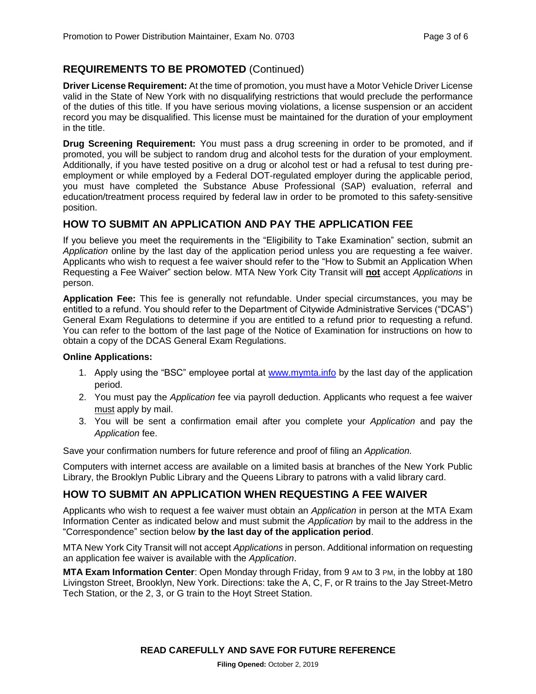# **REQUIREMENTS TO BE PROMOTED** (Continued)

**Driver License Requirement:** At the time of promotion, you must have a Motor Vehicle Driver License valid in the State of New York with no disqualifying restrictions that would preclude the performance of the duties of this title. If you have serious moving violations, a license suspension or an accident record you may be disqualified. This license must be maintained for the duration of your employment in the title.

**Drug Screening Requirement:** You must pass a drug screening in order to be promoted, and if promoted, you will be subject to random drug and alcohol tests for the duration of your employment. Additionally, if you have tested positive on a drug or alcohol test or had a refusal to test during preemployment or while employed by a Federal DOT-regulated employer during the applicable period, you must have completed the Substance Abuse Professional (SAP) evaluation, referral and education/treatment process required by federal law in order to be promoted to this safety-sensitive position.

# **HOW TO SUBMIT AN APPLICATION AND PAY THE APPLICATION FEE**

If you believe you meet the requirements in the "Eligibility to Take Examination" section, submit an *Application* online by the last day of the application period unless you are requesting a fee waiver. Applicants who wish to request a fee waiver should refer to the "How to Submit an Application When Requesting a Fee Waiver" section below. MTA New York City Transit will **not** accept *Applications* in person.

**Application Fee:** This fee is generally not refundable. Under special circumstances, you may be entitled to a refund. You should refer to the Department of Citywide Administrative Services ("DCAS") General Exam Regulations to determine if you are entitled to a refund prior to requesting a refund. You can refer to the bottom of the last page of the Notice of Examination for instructions on how to obtain a copy of the DCAS General Exam Regulations.

#### **Online Applications:**

- 1. Apply using the "BSC" employee portal at [www.mymta.info](http://www.mymta.info/) by the last day of the application period.
- 2. You must pay the *Application* fee via payroll deduction. Applicants who request a fee waiver must apply by mail.
- 3. You will be sent a confirmation email after you complete your *Application* and pay the *Application* fee.

Save your confirmation numbers for future reference and proof of filing an *Application.*

Computers with internet access are available on a limited basis at branches of the New York Public Library, the Brooklyn Public Library and the Queens Library to patrons with a valid library card.

# **HOW TO SUBMIT AN APPLICATION WHEN REQUESTING A FEE WAIVER**

Applicants who wish to request a fee waiver must obtain an *Application* in person at the MTA Exam Information Center as indicated below and must submit the *Application* by mail to the address in the "Correspondence" section below **by the last day of the application period**.

MTA New York City Transit will not accept *Applications* in person. Additional information on requesting an application fee waiver is available with the *Application*.

**MTA Exam Information Center**: Open Monday through Friday, from 9 AM to 3 PM, in the lobby at 180 Livingston Street, Brooklyn, New York. Directions: take the A, C, F, or R trains to the Jay Street-Metro Tech Station, or the 2, 3, or G train to the Hoyt Street Station.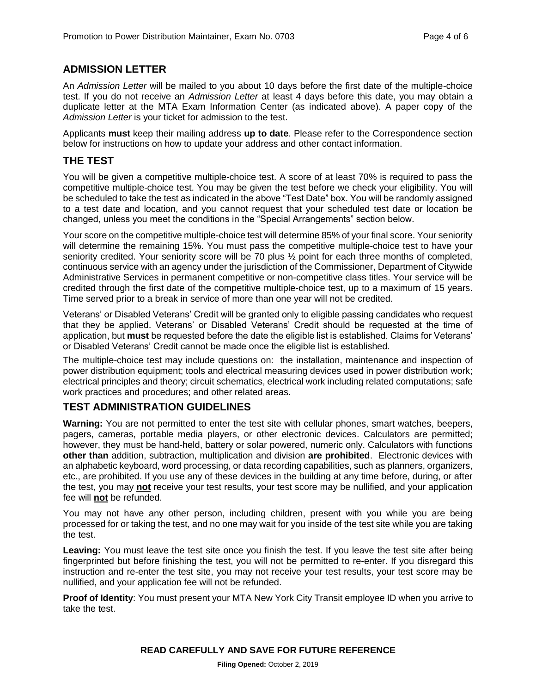# **ADMISSION LETTER**

An *Admission Letter* will be mailed to you about 10 days before the first date of the multiple-choice test. If you do not receive an *Admission Letter* at least 4 days before this date, you may obtain a duplicate letter at the MTA Exam Information Center (as indicated above). A paper copy of the *Admission Letter* is your ticket for admission to the test.

Applicants **must** keep their mailing address **up to date**. Please refer to the Correspondence section below for instructions on how to update your address and other contact information.

# **THE TEST**

You will be given a competitive multiple-choice test. A score of at least 70% is required to pass the competitive multiple-choice test. You may be given the test before we check your eligibility. You will be scheduled to take the test as indicated in the above "Test Date" box. You will be randomly assigned to a test date and location, and you cannot request that your scheduled test date or location be changed, unless you meet the conditions in the "Special Arrangements" section below.

Your score on the competitive multiple-choice test will determine 85% of your final score. Your seniority will determine the remaining 15%. You must pass the competitive multiple-choice test to have your seniority credited. Your seniority score will be 70 plus ½ point for each three months of completed, continuous service with an agency under the jurisdiction of the Commissioner, Department of Citywide Administrative Services in permanent competitive or non-competitive class titles. Your service will be credited through the first date of the competitive multiple-choice test, up to a maximum of 15 years. Time served prior to a break in service of more than one year will not be credited.

Veterans' or Disabled Veterans' Credit will be granted only to eligible passing candidates who request that they be applied. Veterans' or Disabled Veterans' Credit should be requested at the time of application, but **must** be requested before the date the eligible list is established. Claims for Veterans' or Disabled Veterans' Credit cannot be made once the eligible list is established.

The multiple-choice test may include questions on: the installation, maintenance and inspection of power distribution equipment; tools and electrical measuring devices used in power distribution work; electrical principles and theory; circuit schematics, electrical work including related computations; safe work practices and procedures; and other related areas.

# **TEST ADMINISTRATION GUIDELINES**

**Warning:** You are not permitted to enter the test site with cellular phones, smart watches, beepers, pagers, cameras, portable media players, or other electronic devices. Calculators are permitted; however, they must be hand-held, battery or solar powered, numeric only. Calculators with functions **other than** addition, subtraction, multiplication and division **are prohibited**. Electronic devices with an alphabetic keyboard, word processing, or data recording capabilities, such as planners, organizers, etc., are prohibited. If you use any of these devices in the building at any time before, during, or after the test, you may **not** receive your test results, your test score may be nullified, and your application fee will **not** be refunded.

You may not have any other person, including children, present with you while you are being processed for or taking the test, and no one may wait for you inside of the test site while you are taking the test.

**Leaving:** You must leave the test site once you finish the test. If you leave the test site after being fingerprinted but before finishing the test, you will not be permitted to re-enter. If you disregard this instruction and re-enter the test site, you may not receive your test results, your test score may be nullified, and your application fee will not be refunded.

**Proof of Identity**: You must present your MTA New York City Transit employee ID when you arrive to take the test.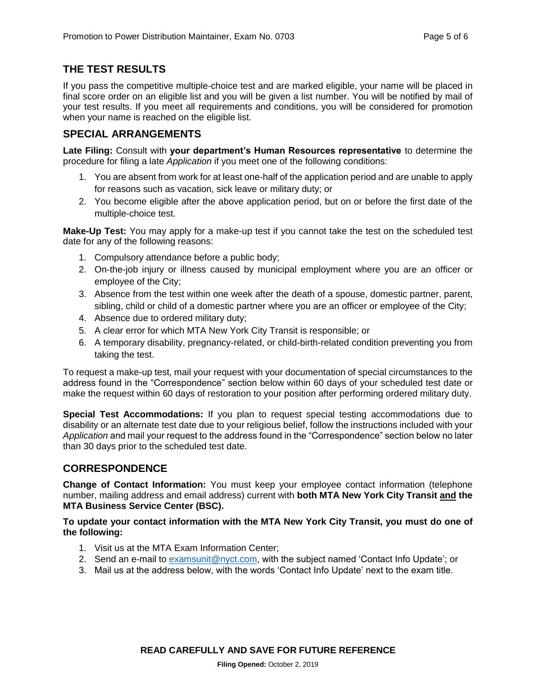# **THE TEST RESULTS**

If you pass the competitive multiple-choice test and are marked eligible, your name will be placed in final score order on an eligible list and you will be given a list number. You will be notified by mail of your test results. If you meet all requirements and conditions, you will be considered for promotion when your name is reached on the eligible list.

# **SPECIAL ARRANGEMENTS**

**Late Filing:** Consult with **your department's Human Resources representative** to determine the procedure for filing a late *Application* if you meet one of the following conditions:

- 1. You are absent from work for at least one-half of the application period and are unable to apply for reasons such as vacation, sick leave or military duty; or
- 2. You become eligible after the above application period, but on or before the first date of the multiple-choice test.

**Make-Up Test:** You may apply for a make-up test if you cannot take the test on the scheduled test date for any of the following reasons:

- 1. Compulsory attendance before a public body;
- 2. On-the-job injury or illness caused by municipal employment where you are an officer or employee of the City;
- 3. Absence from the test within one week after the death of a spouse, domestic partner, parent, sibling, child or child of a domestic partner where you are an officer or employee of the City;
- 4. Absence due to ordered military duty;
- 5. A clear error for which MTA New York City Transit is responsible; or
- 6. A temporary disability, pregnancy-related, or child-birth-related condition preventing you from taking the test.

To request a make-up test, mail your request with your documentation of special circumstances to the address found in the "Correspondence" section below within 60 days of your scheduled test date or make the request within 60 days of restoration to your position after performing ordered military duty.

**Special Test Accommodations:** If you plan to request special testing accommodations due to disability or an alternate test date due to your religious belief, follow the instructions included with your *Application* and mail your request to the address found in the "Correspondence" section below no later than 30 days prior to the scheduled test date.

# **CORRESPONDENCE**

**Change of Contact Information:** You must keep your employee contact information (telephone number, mailing address and email address) current with **both MTA New York City Transit and the MTA Business Service Center (BSC).**

**To update your contact information with the MTA New York City Transit, you must do one of the following:**

- 1. Visit us at the MTA Exam Information Center;
- 2. Send an e-mail to [examsunit@nyct.com,](mailto:examsunit@nyct.com) with the subject named 'Contact Info Update'; or
- 3. Mail us at the address below, with the words 'Contact Info Update' next to the exam title.